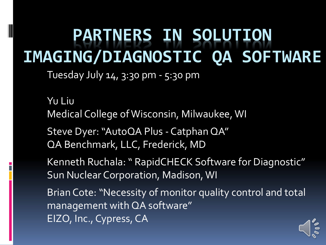### **PARTNERS IN SOLUTION IMAGING/DIAGNOSTIC QA SOFTWARE**

Tuesday July 14, 3:30 pm - 5:30 pm

Yu Liu Medical College of Wisconsin, Milwaukee, WI

Steve Dyer: "AutoQA Plus - Catphan QA" QA Benchmark, LLC, Frederick, MD

Kenneth Ruchala: " RapidCHECK Software for Diagnostic" Sun Nuclear Corporation, Madison, WI

Brian Cote: "Necessity of monitor quality control and total management with QA software" EIZO, Inc., Cypress, CA

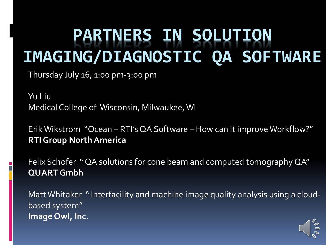### **PARTNERS IN SOLUTION IMAGING/DIAGNOSTIC QA SOFTWARE**

Thursday July 16, 1:00 pm-3:00 pm

Yu Liu Medical College of Wisconsin, Milwaukee, WI

Erik Wikstrom "Ocean – RTI's QA Software – How can it improve Workflow?" **RTI Group North America**

Felix Schofer " QA solutions for cone beam and computed tomography QA" **QUART Gmbh**

Matt Whitaker " Interfacility and machine image quality analysis using a cloudbased system" **Image Owl, Inc.**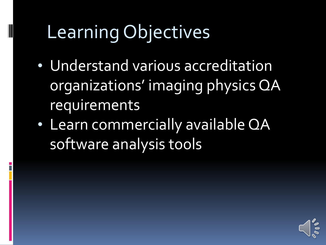## Learning Objectives

- Understand various accreditation organizations' imaging physics QA requirements
- Learn commercially available QA software analysis tools

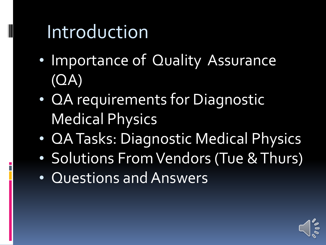## Introduction

- Importance of Quality Assurance (QA)
- QA requirements for Diagnostic Medical Physics
- QA Tasks: Diagnostic Medical Physics
- Solutions From Vendors (Tue & Thurs)
- Questions and Answers

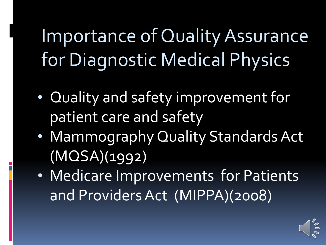Importance of Quality Assurance for Diagnostic Medical Physics

- Quality and safety improvement for patient care and safety
- Mammography Quality Standards Act (MQSA)(1992)
- Medicare Improvements for Patients and Providers Act (MIPPA)(2008)

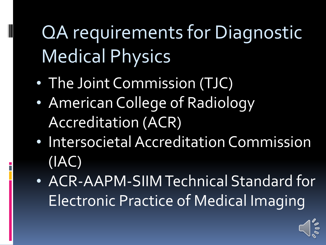QA requirements for Diagnostic Medical Physics

• The Joint Commission (TJC)

- American College of Radiology Accreditation (ACR)
- Intersocietal Accreditation Commission (IAC)
- ACR-AAPM-SIIM Technical Standard for Electronic Practice of Medical Imaging

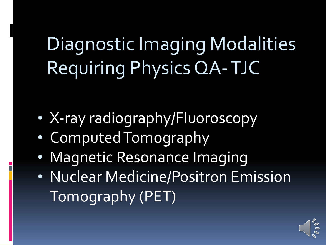# Diagnostic Imaging Modalities Requiring Physics QA-TJC

- X-ray radiography/Fluoroscopy
- Computed Tomography
- Magnetic Resonance Imaging
- Nuclear Medicine/Positron Emission Tomography (PET)

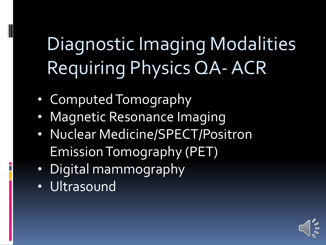# Diagnostic Imaging Modalities Requiring Physics QA-ACR

- Computed Tomography
- Magnetic Resonance Imaging
- Nuclear Medicine/SPECT/Positron Emission Tomography (PET)
- Digital mammography
- Ultrasound

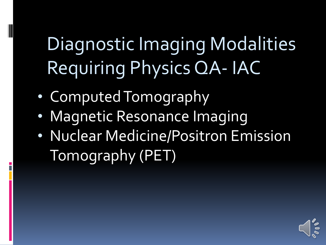# Diagnostic Imaging Modalities Requiring Physics QA- IAC

• Computed Tomography

- Magnetic Resonance Imaging
- Nuclear Medicine/Positron Emission Tomography (PET)

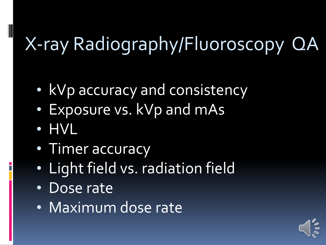## X-ray Radiography/Fluoroscopy QA

- kVp accuracy and consistency
- Exposure vs. kVp and mAs
- HVL

- Timer accuracy
- Light field vs. radiation field
- Dose rate
- Maximum dose rate

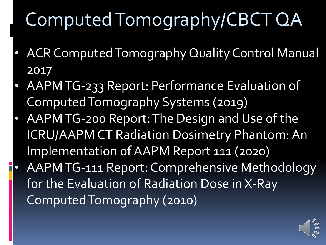## Computed Tomography/CBCT QA

- ACR Computed Tomography Quality Control Manual 2017
- AAPM TG-233 Report: Performance Evaluation of Computed Tomography Systems (2019)
- AAPM TG-200 Report: The Design and Use of the ICRU/AAPM CT Radiation Dosimetry Phantom: An Implementation of AAPM Report 111 (2020)
- AAPM TG-111 Report: Comprehensive Methodology for the Evaluation of Radiation Dose in X-Ray Computed Tomography (2010)

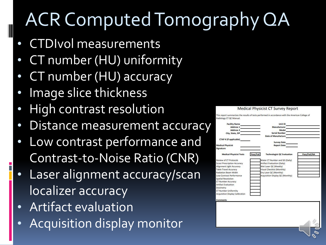## ACR Computed Tomography QA

• CTDIvol measurements

- CT number (HU) uniformity
- CT number (HU) accuracy
- Image slice thickness
- High contrast resolution
- Distance measurement accuracy
- Low contrast performance and Contrast-to-Noise Ratio (CNR)
- Laser alignment accuracy/scan localizer accuracy
- Artifact evaluation
- Acquisition display monitor

| Radiology CT QC Manual.                |                                                |              |
|----------------------------------------|------------------------------------------------|--------------|
| <b>Facility Name</b>                   | Unit ID                                        |              |
| Address 1                              | Manufacturer                                   |              |
| <b>Address 2</b>                       | Model                                          |              |
| City, State, ZIP                       | <b>Serial Number</b>                           |              |
|                                        | Date of Manufacture                            |              |
| CTAP # (if applicable)                 |                                                |              |
|                                        | <b>Survey Date</b>                             |              |
| <b>Medical Physicist</b>               | <b>Report Date</b>                             |              |
| Signature                              |                                                |              |
| <b>Medical Physicist Tests</b>         | Pass/Fail<br><b>Technologist QC Evaluation</b> | Pass/Fail/NA |
| <b>Review of CT Protocols</b>          | Water CT Number and SD (Daily)                 |              |
| <b>Scout Prescription Accuracy</b>     | Artifact Evaluation (Daily)                    |              |
| Alignment Light Accuracy               | Wet Laser QC (Weekly)                          |              |
| <b>Table Travel Accuracy</b>           | Visual Checklist (Monthly)                     |              |
| <b>Radiation Beam Width</b>            | Dry Laser QC (Monthly)                         |              |
| Low-Contrast Performance               | Acquisition Display QC (Monthly)               |              |
| Spatial Resolution                     |                                                |              |
| CT Number Accuracy                     |                                                |              |
| <b>Artifact Evaluation</b>             |                                                |              |
| Dosimetry                              |                                                |              |
| <b>CT Number Uniformity</b>            |                                                |              |
| <b>Acquisition Display Calibration</b> |                                                |              |
|                                        |                                                |              |

Medical Physicist CT Survey Report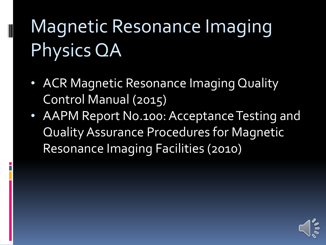# Magnetic Resonance Imaging Physics QA

- ACR Magnetic Resonance Imaging Quality Control Manual (2015)
- AAPM Report No.100: Acceptance Testing and Quality Assurance Procedures for Magnetic Resonance Imaging Facilities (2010)

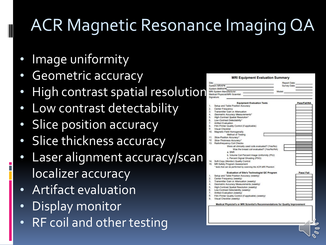## ACR Magnetic Resonance Imaging QA

- Image uniformity
- Geometric accuracy
- High contrast spatial resolution
- Low contrast detectability
- **Slice position accuracy**
- Slice thickness accuracy
- Laser alignment accuracy/scar localizer accuracy
- Artifact evaluation
- Display monitor
- RF coil and other testing

| System MRAP#:<br>System BMRAP#:<br>MRI System Manufacturer:<br>Medical Physicist/MRI Scientist:<br>Setup and Table Position Accuracy<br>Center Frequency<br>Transmitter Gain or Attenuation<br>Geometric Accuracy Measurements*<br>High-Contrast Spatial Resolution*<br>6. Low-Contrast Detectability*<br>7 Artifact Evaluation<br>8. Film Printer Quality Control (if applicable)<br><b>Visual Checklist</b><br>10. Magnetic Field Homogeneity<br>Method of Testing<br>11. Slice-Position Accuracy*<br>12. Slice-Thickness Accuracy*<br>13. Radiofrequency Coil Checks | <b>Equipment Evaluation Tests</b><br>Were all clinically used coils evaluated? (Yes/No) |                                                                                                                                                                                                              |                                                                                                                                                                                                                                                                              | Model:                                                                                                                                                                | Survey Date:<br>Pass/Fail/NA                                                   |
|-------------------------------------------------------------------------------------------------------------------------------------------------------------------------------------------------------------------------------------------------------------------------------------------------------------------------------------------------------------------------------------------------------------------------------------------------------------------------------------------------------------------------------------------------------------------------|-----------------------------------------------------------------------------------------|--------------------------------------------------------------------------------------------------------------------------------------------------------------------------------------------------------------|------------------------------------------------------------------------------------------------------------------------------------------------------------------------------------------------------------------------------------------------------------------------------|-----------------------------------------------------------------------------------------------------------------------------------------------------------------------|--------------------------------------------------------------------------------|
|                                                                                                                                                                                                                                                                                                                                                                                                                                                                                                                                                                         |                                                                                         |                                                                                                                                                                                                              |                                                                                                                                                                                                                                                                              |                                                                                                                                                                       |                                                                                |
|                                                                                                                                                                                                                                                                                                                                                                                                                                                                                                                                                                         |                                                                                         |                                                                                                                                                                                                              |                                                                                                                                                                                                                                                                              |                                                                                                                                                                       |                                                                                |
|                                                                                                                                                                                                                                                                                                                                                                                                                                                                                                                                                                         |                                                                                         |                                                                                                                                                                                                              |                                                                                                                                                                                                                                                                              |                                                                                                                                                                       |                                                                                |
|                                                                                                                                                                                                                                                                                                                                                                                                                                                                                                                                                                         |                                                                                         |                                                                                                                                                                                                              |                                                                                                                                                                                                                                                                              |                                                                                                                                                                       |                                                                                |
|                                                                                                                                                                                                                                                                                                                                                                                                                                                                                                                                                                         |                                                                                         |                                                                                                                                                                                                              |                                                                                                                                                                                                                                                                              |                                                                                                                                                                       |                                                                                |
|                                                                                                                                                                                                                                                                                                                                                                                                                                                                                                                                                                         |                                                                                         |                                                                                                                                                                                                              |                                                                                                                                                                                                                                                                              |                                                                                                                                                                       |                                                                                |
|                                                                                                                                                                                                                                                                                                                                                                                                                                                                                                                                                                         |                                                                                         |                                                                                                                                                                                                              |                                                                                                                                                                                                                                                                              |                                                                                                                                                                       |                                                                                |
|                                                                                                                                                                                                                                                                                                                                                                                                                                                                                                                                                                         |                                                                                         |                                                                                                                                                                                                              |                                                                                                                                                                                                                                                                              |                                                                                                                                                                       |                                                                                |
|                                                                                                                                                                                                                                                                                                                                                                                                                                                                                                                                                                         |                                                                                         |                                                                                                                                                                                                              |                                                                                                                                                                                                                                                                              |                                                                                                                                                                       |                                                                                |
|                                                                                                                                                                                                                                                                                                                                                                                                                                                                                                                                                                         |                                                                                         |                                                                                                                                                                                                              |                                                                                                                                                                                                                                                                              |                                                                                                                                                                       |                                                                                |
|                                                                                                                                                                                                                                                                                                                                                                                                                                                                                                                                                                         |                                                                                         |                                                                                                                                                                                                              |                                                                                                                                                                                                                                                                              |                                                                                                                                                                       |                                                                                |
|                                                                                                                                                                                                                                                                                                                                                                                                                                                                                                                                                                         |                                                                                         |                                                                                                                                                                                                              |                                                                                                                                                                                                                                                                              |                                                                                                                                                                       |                                                                                |
|                                                                                                                                                                                                                                                                                                                                                                                                                                                                                                                                                                         |                                                                                         |                                                                                                                                                                                                              |                                                                                                                                                                                                                                                                              |                                                                                                                                                                       |                                                                                |
|                                                                                                                                                                                                                                                                                                                                                                                                                                                                                                                                                                         |                                                                                         |                                                                                                                                                                                                              |                                                                                                                                                                                                                                                                              |                                                                                                                                                                       |                                                                                |
|                                                                                                                                                                                                                                                                                                                                                                                                                                                                                                                                                                         |                                                                                         |                                                                                                                                                                                                              |                                                                                                                                                                                                                                                                              |                                                                                                                                                                       |                                                                                |
|                                                                                                                                                                                                                                                                                                                                                                                                                                                                                                                                                                         |                                                                                         |                                                                                                                                                                                                              |                                                                                                                                                                                                                                                                              |                                                                                                                                                                       |                                                                                |
|                                                                                                                                                                                                                                                                                                                                                                                                                                                                                                                                                                         |                                                                                         |                                                                                                                                                                                                              |                                                                                                                                                                                                                                                                              |                                                                                                                                                                       |                                                                                |
|                                                                                                                                                                                                                                                                                                                                                                                                                                                                                                                                                                         |                                                                                         |                                                                                                                                                                                                              |                                                                                                                                                                                                                                                                              |                                                                                                                                                                       |                                                                                |
|                                                                                                                                                                                                                                                                                                                                                                                                                                                                                                                                                                         |                                                                                         |                                                                                                                                                                                                              |                                                                                                                                                                                                                                                                              |                                                                                                                                                                       |                                                                                |
|                                                                                                                                                                                                                                                                                                                                                                                                                                                                                                                                                                         |                                                                                         |                                                                                                                                                                                                              |                                                                                                                                                                                                                                                                              |                                                                                                                                                                       |                                                                                |
|                                                                                                                                                                                                                                                                                                                                                                                                                                                                                                                                                                         |                                                                                         |                                                                                                                                                                                                              |                                                                                                                                                                                                                                                                              |                                                                                                                                                                       |                                                                                |
|                                                                                                                                                                                                                                                                                                                                                                                                                                                                                                                                                                         | Was the breast coil evaluated? (Yes/No/NA)                                              |                                                                                                                                                                                                              |                                                                                                                                                                                                                                                                              |                                                                                                                                                                       |                                                                                |
| a. SNR                                                                                                                                                                                                                                                                                                                                                                                                                                                                                                                                                                  |                                                                                         |                                                                                                                                                                                                              |                                                                                                                                                                                                                                                                              |                                                                                                                                                                       |                                                                                |
|                                                                                                                                                                                                                                                                                                                                                                                                                                                                                                                                                                         |                                                                                         |                                                                                                                                                                                                              |                                                                                                                                                                                                                                                                              |                                                                                                                                                                       |                                                                                |
|                                                                                                                                                                                                                                                                                                                                                                                                                                                                                                                                                                         |                                                                                         |                                                                                                                                                                                                              |                                                                                                                                                                                                                                                                              |                                                                                                                                                                       |                                                                                |
|                                                                                                                                                                                                                                                                                                                                                                                                                                                                                                                                                                         |                                                                                         |                                                                                                                                                                                                              |                                                                                                                                                                                                                                                                              |                                                                                                                                                                       |                                                                                |
|                                                                                                                                                                                                                                                                                                                                                                                                                                                                                                                                                                         |                                                                                         |                                                                                                                                                                                                              |                                                                                                                                                                                                                                                                              |                                                                                                                                                                       |                                                                                |
|                                                                                                                                                                                                                                                                                                                                                                                                                                                                                                                                                                         |                                                                                         |                                                                                                                                                                                                              |                                                                                                                                                                                                                                                                              |                                                                                                                                                                       |                                                                                |
|                                                                                                                                                                                                                                                                                                                                                                                                                                                                                                                                                                         |                                                                                         |                                                                                                                                                                                                              |                                                                                                                                                                                                                                                                              |                                                                                                                                                                       | Pass/Fail                                                                      |
|                                                                                                                                                                                                                                                                                                                                                                                                                                                                                                                                                                         |                                                                                         |                                                                                                                                                                                                              |                                                                                                                                                                                                                                                                              |                                                                                                                                                                       |                                                                                |
|                                                                                                                                                                                                                                                                                                                                                                                                                                                                                                                                                                         |                                                                                         |                                                                                                                                                                                                              |                                                                                                                                                                                                                                                                              |                                                                                                                                                                       |                                                                                |
|                                                                                                                                                                                                                                                                                                                                                                                                                                                                                                                                                                         |                                                                                         |                                                                                                                                                                                                              |                                                                                                                                                                                                                                                                              |                                                                                                                                                                       |                                                                                |
|                                                                                                                                                                                                                                                                                                                                                                                                                                                                                                                                                                         |                                                                                         |                                                                                                                                                                                                              |                                                                                                                                                                                                                                                                              |                                                                                                                                                                       |                                                                                |
|                                                                                                                                                                                                                                                                                                                                                                                                                                                                                                                                                                         |                                                                                         |                                                                                                                                                                                                              |                                                                                                                                                                                                                                                                              |                                                                                                                                                                       |                                                                                |
|                                                                                                                                                                                                                                                                                                                                                                                                                                                                                                                                                                         |                                                                                         |                                                                                                                                                                                                              |                                                                                                                                                                                                                                                                              |                                                                                                                                                                       |                                                                                |
|                                                                                                                                                                                                                                                                                                                                                                                                                                                                                                                                                                         |                                                                                         |                                                                                                                                                                                                              |                                                                                                                                                                                                                                                                              |                                                                                                                                                                       |                                                                                |
|                                                                                                                                                                                                                                                                                                                                                                                                                                                                                                                                                                         |                                                                                         |                                                                                                                                                                                                              |                                                                                                                                                                                                                                                                              |                                                                                                                                                                       |                                                                                |
|                                                                                                                                                                                                                                                                                                                                                                                                                                                                                                                                                                         |                                                                                         |                                                                                                                                                                                                              |                                                                                                                                                                                                                                                                              |                                                                                                                                                                       |                                                                                |
|                                                                                                                                                                                                                                                                                                                                                                                                                                                                                                                                                                         |                                                                                         |                                                                                                                                                                                                              |                                                                                                                                                                                                                                                                              |                                                                                                                                                                       |                                                                                |
|                                                                                                                                                                                                                                                                                                                                                                                                                                                                                                                                                                         |                                                                                         | 14. Soft-Copy (Monitor) Quality Control<br>15. MR Safety Program Assessment<br>Center Frequency (weekly)<br>Low-Contrast Detectability (weekly)<br>Artifact Evaluation (weekly)<br>Visual Checklist (weekly) | c. Percent Signal Ghosting (PSG)<br>Setup and Table Position Accuracy (weekly)<br>Transmitter Gain or Attenuation (weekly)<br>Geometric Accuracy Measurements (weekly)<br>High-Contrast Spatial Resolution (weekly)<br>Film Printer Quality Control (if applicable) (weekly) | b. Volume Coil Percent Image Uniformity (PIU)<br>* tests that can be performed by scanning the ACR MRI Phantom<br><b>Evaluation of Site's Technologist QC Program</b> | Medical Physicist's or MRI Scientist's Recommendations for Quality Improvement |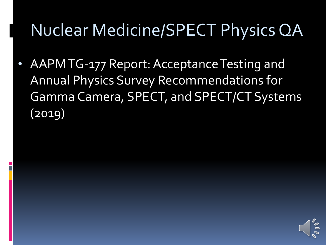#### Nuclear Medicine/SPECT Physics QA

• AAPM TG-177 Report: Acceptance Testing and Annual Physics Survey Recommendations for Gamma Camera, SPECT, and SPECT/CT Systems (2019)

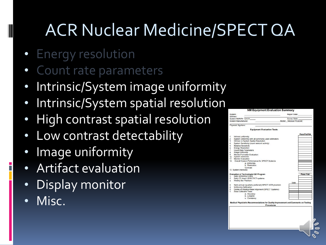### ACR Nuclear Medicine/SPECT QA

- Energy resolution
- Count rate parameters
- Intrinsic/System image uniformity
- Intrinsic/System spatial resolution
- High contrast spatial resolution
- Low contrast detectability
- Image uniformity
- Artifact evaluation
- Display monitor
- Misc.

|                                                | System:<br>Address:                                                                 | Report Date:<br>Survey Date: |              |
|------------------------------------------------|-------------------------------------------------------------------------------------|------------------------------|--------------|
| System NMAP# - Unit #:<br>System Manufacturer: |                                                                                     | Model: Medical Physicist:    |              |
|                                                | Physicist Signiture:                                                                |                              |              |
|                                                | <b>Equipment Evaluation Tests</b>                                                   |                              |              |
|                                                |                                                                                     |                              | Pass/Fail/NA |
| 1                                              | Intrinsic uniformity                                                                |                              |              |
| $\overline{2}$                                 | System Uniformity with all commonly used collimators                                |                              |              |
| $\overline{3}$                                 | Intrinsic or System Spatial Resolution                                              |                              |              |
| $\overline{4}$                                 | System Sensitivity (count rate/unit activity)                                       |                              |              |
| 5                                              | <b>Relative Sensitivity</b>                                                         |                              |              |
| 6                                              | <b>Energy Resolution</b>                                                            |                              |              |
| $\overline{7}$                                 | <b>Count Rate Parameters</b>                                                        |                              |              |
| 8                                              | Image Uniformity                                                                    |                              |              |
| g.                                             | Monitor/Formatter Evaluation                                                        |                              |              |
| 10 <sup>1</sup>                                | System Interlocks                                                                   |                              |              |
| 11                                             | Monitor Evaluation                                                                  |                              |              |
| 12                                             | Overall System Performance for SPECT Systems                                        |                              |              |
|                                                | a. Uniformity                                                                       |                              |              |
|                                                | b. Resolution                                                                       |                              |              |
|                                                | Contrast                                                                            |                              |              |
|                                                | 13 System interlocks                                                                |                              |              |
|                                                | <b>Evaluation of Technologist QC Program</b>                                        |                              | Pass/Fail    |
| 1.                                             | Daily Uniformity Check                                                              |                              |              |
| $\overline{2}$                                 | Daily CT check (SPECT/CT systems                                                    |                              |              |
| 3                                              | Weekly Bar Phantom                                                                  |                              |              |
| $\overline{4}$                                 | Semi-annual (quarterly preferred) SPECT ACR phantom                                 | Date                         |              |
| 5                                              | Uniformity Calibration                                                              |                              |              |
| 6                                              | Center-of-Rotation/Head Alignment (SPECT Systems)                                   |                              |              |
| $\overline{7}$                                 | Dose Calibrator Tests                                                               |                              |              |
|                                                | a. Accuracy                                                                         |                              |              |
|                                                | b. Linearity                                                                        |                              |              |
|                                                | c. Constancy                                                                        |                              |              |
|                                                |                                                                                     |                              |              |
|                                                | Medical Physicist's Recommendations for Quality Improvement and Comments on Testing |                              |              |
|                                                | Procedures                                                                          |                              |              |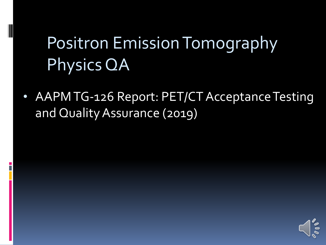### Positron Emission Tomography Physics QA

• AAPM TG-126 Report: PET/CT Acceptance Testing and Quality Assurance (2019)

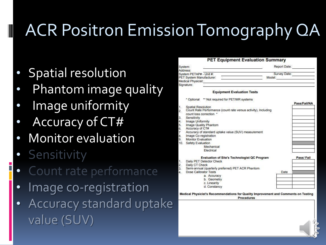## ACR Positron Emission Tomography QA

- **Spatial resolution**
- Phantom image quality
- Image uniformity
- Accuracy of CT#
- Monitor evaluation
- **Sensitivity**

- Count rate performance
- Image co-registration
- Accuracy standard uptake value (SUV)

|                | System:                                                                                   | Report Date: |              |
|----------------|-------------------------------------------------------------------------------------------|--------------|--------------|
|                | Address:<br>System PETAP# - Unit #:                                                       | Survey Date: |              |
|                | PET System Manufacturer:                                                                  | Model:       |              |
|                | Medical Physicist:                                                                        |              |              |
|                | Signature:                                                                                |              |              |
|                |                                                                                           |              |              |
|                | <b>Equipment Evaluation Tests</b>                                                         |              |              |
|                | * Optional ** Not required for PET/MR systems                                             |              |              |
|                |                                                                                           |              | Pass/Fail/NA |
| 1.             | Spatial Resolution                                                                        |              |              |
| 2.             | Count Rate Performance (count rate versus activity), Including<br>count loss correction * |              |              |
| 3.             |                                                                                           |              |              |
| 4.             | Sensitivity<br>Image Uniformity                                                           |              |              |
| 5.             | Image Quality Phantom                                                                     |              |              |
| 6.             | Accuracy of CT#                                                                           |              |              |
| $\overline{7}$ | Accuracy of standard uptake value (SUV) measurement                                       |              |              |
| 8.             | Image Co-registration                                                                     |              |              |
| 9.             | Monitor Evaluation                                                                        |              |              |
| 10.            | <b>Safety Evaluation</b>                                                                  |              |              |
|                | Mechanical                                                                                |              |              |
|                | Electrical                                                                                |              |              |
|                | <b>Evaluation of Site's Technologist QC Program</b>                                       |              | Pass/Fail    |
| 1.             | Daily PET Detector Check                                                                  |              |              |
| 2.             | Daily CT Check                                                                            |              |              |
| 3.             | Semi-annual (quarterly preferred) PET ACR Phantom                                         |              |              |
| 4.             | Dose Calibrator Tests                                                                     | Date         |              |
|                | a. Accuracy                                                                               |              |              |
|                | b. Geometry                                                                               |              |              |
|                | c. Linearity                                                                              |              |              |
|                | d. Constancy                                                                              |              |              |

Procedures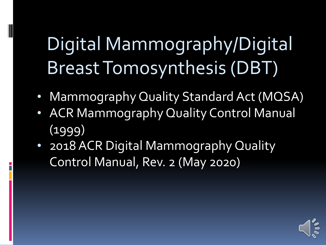# Digital Mammography/Digital Breast Tomosynthesis (DBT)

- Mammography Quality Standard Act (MQSA)
- ACR Mammography Quality Control Manual (1999)
- 2018 ACR Digital Mammography Quality Control Manual, Rev. 2 (May 2020)

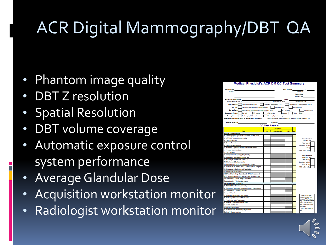## ACR Digital Mammography/DBT QA

- Phantom image quality
- DBT Z resolution

- Spatial Resolution
- DBT volume coverage
- Automatic exposure control system performance
- Average Glandular Dose
- Acquisition workstation monitor
- Radiologist workstation monitor

|                                                                                | <b>Medical Physicist's ACR DM QC Test Summary</b>               |
|--------------------------------------------------------------------------------|-----------------------------------------------------------------|
| <b>Facility Name</b>                                                           | <b>MAP ID-Unit#</b>                                             |
| <b>Address</b>                                                                 | Room ID                                                         |
|                                                                                | <b>Report Date</b>                                              |
|                                                                                | <b>Survey Date</b>                                              |
| <b>X-Ray Unit Manufacturer</b>                                                 | Model                                                           |
| <b>Control Panel Serial #</b>                                                  | <b>Manufacture Date</b><br><b>Installation Date</b>             |
| <b>DM Unit Type:</b><br>Digital radiography (DR)                               | Computed radiography (CR)<br>Digital Breast Tomosynthesis (DBT) |
|                                                                                |                                                                 |
| <b>Unit Use:</b><br>Diagnostic and screening mammography                       | <b>Diagnostic only</b><br>Screening only                        |
| <b>Survey Type:</b><br>Mammography equipment evaluation (MEE) - Full           | MEE - Partial<br>Annual survey                                  |
| AW monitor<br><b>Equipment Tested:</b><br>DM unit                              | Viewbox<br><b>RW</b> monitor<br>Printer<br>Other:               |
| <b>Oversight Level:</b><br>Medical physicist on-site                           | Medical physicist oversight                                     |
| Quality Control Manual Used for Survey and Facility QC:                        | 2018 ACR Digital Mammography GC Manual (with 2D and DBT QC)     |
|                                                                                |                                                                 |
| <b>Medical Physicist</b>                                                       | Signature                                                       |
|                                                                                | <b>QC Test Results</b>                                          |
|                                                                                | Pass/Fail*                                                      |
| <b>Test</b>                                                                    | $2D**$<br>2D Add-on DBT<br>DRT<br>CA                            |
| <b>Medical Physicist Tests</b><br>Mammography Equipment Evaluation - MQSA Reqs |                                                                 |
| <b>ACR DM Phantom Image Quality</b>                                            |                                                                 |
| <b>DBT Z Resolution</b>                                                        | <b>Your Phantom</b><br>Results - 2D                             |
| 4. Spatial Resolution                                                          | Fiber (≥ 2.0)                                                   |
| 5. DBT Volume Coverage                                                         | Speck grp (≥ 3.0)                                               |
| Automatic Exposure Control System Performance                                  | Mass (2.2.0)                                                    |
| 7. Average Glandular Dose                                                      | AGD (s 3.0 mGv)                                                 |
| 8. Unit Checklist                                                              |                                                                 |
| 9. Computed Radiography (if applicable)                                        | <b>Your Phantom</b>                                             |
| 10. Acquisition Workstation Monitor QC                                         | <b>Results - DBT</b>                                            |
| 11. Radiologist Workstation Monitor QC                                         | Fiber (≥ 2.0)                                                   |
| 12. Film Printer QC (if applicable)                                            | Speck grp (≥ 3.0)                                               |
| 13. Evaluation of Site's Technologist QC Program                               | Mass (≥ 2.0)                                                    |
| 14. Evaluation of Display Device Technologist QC Program                       | AGD (s 3.0 mGy)                                                 |
| 15. Manufacturer Calibrations (if applicable)                                  |                                                                 |
| 16. Collimation Assessment                                                     |                                                                 |
| MEE/Troubleshooting - Beam Quality (HVL) Assessment                            |                                                                 |
| MEE/Troubleshooting - kVp Accuracy and Reproducibility                         |                                                                 |
| Troubleshooting - Ghost Image Evaluation                                       |                                                                 |
| Troubleshooting - Viewbox Luminance                                            |                                                                 |
| <b>Technologist QC Evaluation</b>                                              |                                                                 |
| 1. ACR DM Phantom Image Quality                                                |                                                                 |
| 2. Computed Radiography Cassette Erasure (if applicable)                       |                                                                 |
| 3. Compression Thickness Indicator                                             |                                                                 |
| 4. Visual Checklist<br>5. Acquisition Workstation Monitor QC                   | "Pass" means all                                                |
| 6. Radiologist Workstation Monitor QC                                          | components of test                                              |
| 7. Film Printer QC (If applicable)                                             | passes; "Fail" means                                            |
| 8. Viewbox Cleanliness (if applicable)                                         | any or all components<br>fail: if "CA" checked.                 |
| 9. Facility QC Review                                                          | see Corrective Action                                           |
| 10. Compression Force                                                          | Summary                                                         |
| 11. Manufacturer Calibration (if applicable)                                   | ** or DBT aguistition                                           |
| Optional - Repeat Analysis                                                     | only                                                            |
|                                                                                |                                                                 |

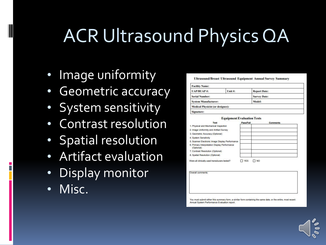## ACR Ultrasound Physics QA

- Image uniformity
- **Geometric accuracy**
- System sensitivity
- Contrast resolution
- Spatial resolution
- Artifact evaluation
- Display monitor
- Misc.

| Ultrasound/Breast Ultrasound Equipment Annual Survey Summar |  |  |  |  |  |
|-------------------------------------------------------------|--|--|--|--|--|
|-------------------------------------------------------------|--|--|--|--|--|

| <b>Facility Name:</b>                   |         |                     |  |
|-----------------------------------------|---------|---------------------|--|
| <b>UAP/BUAP#:</b>                       | Unit #: | <b>Report Date:</b> |  |
| <b>Serial Number:</b>                   |         | <b>Survey Date:</b> |  |
| <b>System Manufacturer:</b>             |         | Model:              |  |
| <b>Medical Physicist (or designee):</b> |         |                     |  |
| Signature:                              |         |                     |  |

| <b>Test</b>                                                 | Pass/Fail                 | <b>Comments</b> |
|-------------------------------------------------------------|---------------------------|-----------------|
| 1. Physical and Mechanical Inspection                       |                           |                 |
| 2. Image Uniformity and Artifact Survey                     |                           |                 |
| 3. Geometric Accuracy (Optional)                            |                           |                 |
| 4. System Sensitivity                                       |                           |                 |
| 5. Scanner Electronic Image Display Performance             |                           |                 |
| 6. Primary Interpretation Display Performance<br>(Optional) |                           |                 |
| 7. Contrast Resolution (Optional)                           |                           |                 |
| 8. Spatial Resolution (Optional)                            |                           |                 |
| Were all clinically used transducers tested?                | <b>NO</b><br><b>T</b> YES |                 |

Overall comments

You must submit either this summary form, a similar form containing the same date, or the entire, most recent Annual System Performance Evaluation report

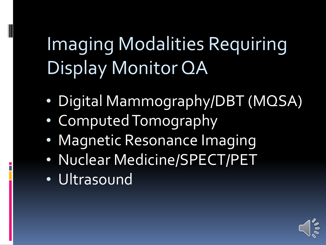# Imaging Modalities Requiring Display Monitor QA

- Digital Mammography/DBT (MQSA)
- Computed Tomography
- Magnetic Resonance Imaging
- Nuclear Medicine/SPECT/PET
- Ultrasound

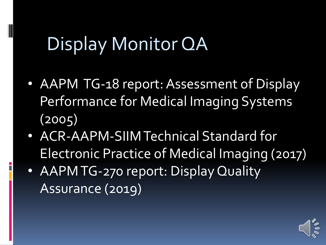### Display Monitor QA

- AAPM TG-18 report: Assessment of Display Performance for Medical Imaging Systems (2005)
- ACR-AAPM-SIIM Technical Standard for Electronic Practice of Medical Imaging (2017)
- AAPM TG-270 report: Display Quality Assurance (2019)

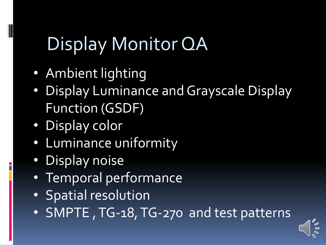## Display Monitor QA

- Ambient lighting
- Display Luminance and Grayscale Display Function (GSDF)
- Display color

- Luminance uniformity
- Display noise
- Temporal performance
- Spatial resolution
- SMPTE , TG-18, TG-270 and test patterns